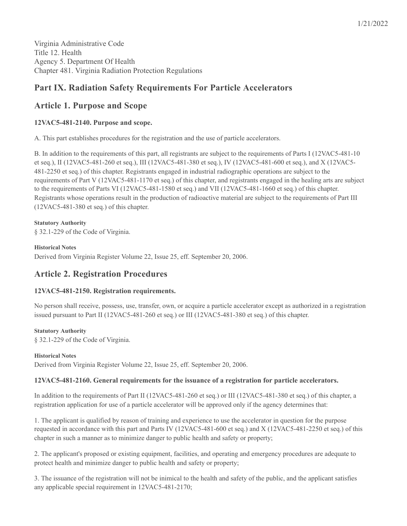# **Part IX. Radiation Safety Requirements For Particle Accelerators**

# **Article 1. Purpose and Scope**

# **12VAC5-481-2140. Purpose and scope.**

A. This part establishes procedures for the registration and the use of particle accelerators.

B. In addition to the requirements of this part, all registrants are subject to the requirements of Parts I (12VAC5-481-10 et seq.), II (12VAC5-481-260 et seq.), III (12VAC5-481-380 et seq.), IV (12VAC5-481-600 et seq.), and X (12VAC5- 481-2250 et seq.) of this chapter. Registrants engaged in industrial radiographic operations are subject to the requirements of Part V (12VAC5-481-1170 et seq.) of this chapter, and registrants engaged in the healing arts are subject to the requirements of Parts VI (12VAC5-481-1580 et seq.) and VII (12VAC5-481-1660 et seq.) of this chapter. Registrants whose operations result in the production of radioactive material are subject to the requirements of Part III (12VAC5-481-380 et seq.) of this chapter.

# **Statutory Authority**

§ 32.1-229 of the Code of Virginia.

## **Historical Notes**

Derived from Virginia Register Volume 22, Issue 25, eff. September 20, 2006.

# **Article 2. Registration Procedures**

# **12VAC5-481-2150. Registration requirements.**

No person shall receive, possess, use, transfer, own, or acquire a particle accelerator except as authorized in a registration issued pursuant to Part II (12VAC5-481-260 et seq.) or III (12VAC5-481-380 et seq.) of this chapter.

# **Statutory Authority**

§ 32.1-229 of the Code of Virginia.

# **Historical Notes**

Derived from Virginia Register Volume 22, Issue 25, eff. September 20, 2006.

# **12VAC5-481-2160. General requirements for the issuance of a registration for particle accelerators.**

In addition to the requirements of Part II (12VAC5-481-260 et seq.) or III (12VAC5-481-380 et seq.) of this chapter, a registration application for use of a particle accelerator will be approved only if the agency determines that:

1. The applicant is qualified by reason of training and experience to use the accelerator in question for the purpose requested in accordance with this part and Parts IV (12VAC5-481-600 et seq.) and X (12VAC5-481-2250 et seq.) of this chapter in such a manner as to minimize danger to public health and safety or property;

2. The applicant's proposed or existing equipment, facilities, and operating and emergency procedures are adequate to protect health and minimize danger to public health and safety or property;

3. The issuance of the registration will not be inimical to the health and safety of the public, and the applicant satisfies any applicable special requirement in 12VAC5-481-2170;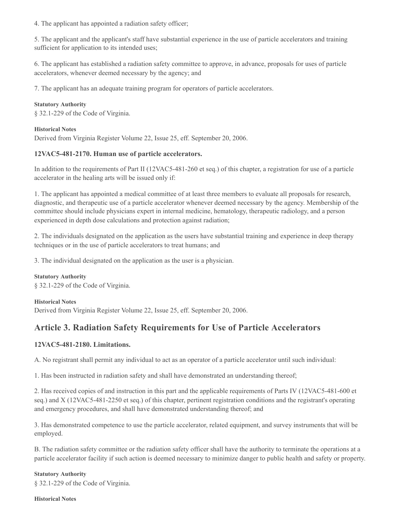4. The applicant has appointed a radiation safety officer;

5. The applicant and the applicant's staff have substantial experience in the use of particle accelerators and training sufficient for application to its intended uses;

6. The applicant has established a radiation safety committee to approve, in advance, proposals for uses of particle accelerators, whenever deemed necessary by the agency; and

7. The applicant has an adequate training program for operators of particle accelerators.

### **Statutory Authority**

§ 32.1-229 of the Code of Virginia.

#### **Historical Notes**

Derived from Virginia Register Volume 22, Issue 25, eff. September 20, 2006.

## **12VAC5-481-2170. Human use of particle accelerators.**

In addition to the requirements of Part II (12VAC5-481-260 et seq.) of this chapter, a registration for use of a particle accelerator in the healing arts will be issued only if:

1. The applicant has appointed a medical committee of at least three members to evaluate all proposals for research, diagnostic, and therapeutic use of a particle accelerator whenever deemed necessary by the agency. Membership of the committee should include physicians expert in internal medicine, hematology, therapeutic radiology, and a person experienced in depth dose calculations and protection against radiation;

2. The individuals designated on the application as the users have substantial training and experience in deep therapy techniques or in the use of particle accelerators to treat humans; and

3. The individual designated on the application as the user is a physician.

**Statutory Authority** § 32.1-229 of the Code of Virginia.

#### **Historical Notes**

Derived from Virginia Register Volume 22, Issue 25, eff. September 20, 2006.

# **Article 3. Radiation Safety Requirements for Use of Particle Accelerators**

## **12VAC5-481-2180. Limitations.**

A. No registrant shall permit any individual to act as an operator of a particle accelerator until such individual:

1. Has been instructed in radiation safety and shall have demonstrated an understanding thereof;

2. Has received copies of and instruction in this part and the applicable requirements of Parts IV (12VAC5-481-600 et seq.) and X (12VAC5-481-2250 et seq.) of this chapter, pertinent registration conditions and the registrant's operating and emergency procedures, and shall have demonstrated understanding thereof; and

3. Has demonstrated competence to use the particle accelerator, related equipment, and survey instruments that will be employed.

B. The radiation safety committee or the radiation safety officer shall have the authority to terminate the operations at a particle accelerator facility if such action is deemed necessary to minimize danger to public health and safety or property.

#### **Statutory Authority**

§ 32.1-229 of the Code of Virginia.

#### **Historical Notes**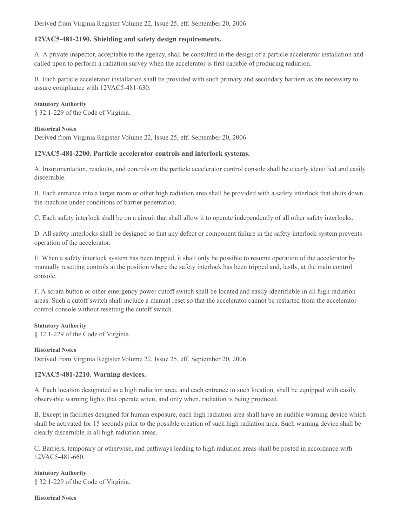Derived from Virginia Register Volume 22, Issue 25, eff. September 20, 2006.

## **12VAC5-481-2190. Shielding and safety design requirements.**

A. A private inspector, acceptable to the agency, shall be consulted in the design of a particle accelerator installation and called upon to perform a radiation survey when the accelerator is first capable of producing radiation.

B. Each particle accelerator installation shall be provided with such primary and secondary barriers as are necessary to assure compliance with 12VAC5-481-630.

#### **Statutory Authority**

§ 32.1-229 of the Code of Virginia.

#### **Historical Notes**

Derived from Virginia Register Volume 22, Issue 25, eff. September 20, 2006.

### **12VAC5-481-2200. Particle accelerator controls and interlock systems.**

A. Instrumentation, readouts, and controls on the particle accelerator control console shall be clearly identified and easily discernible.

B. Each entrance into a target room or other high radiation area shall be provided with a safety interlock that shuts down the machine under conditions of barrier penetration.

C. Each safety interlock shall be on a circuit that shall allow it to operate independently of all other safety interlocks.

D. All safety interlocks shall be designed so that any defect or component failure in the safety interlock system prevents operation of the accelerator.

E. When a safety interlock system has been tripped, it shall only be possible to resume operation of the accelerator by manually resetting controls at the position where the safety interlock has been tripped and, lastly, at the main control console.

F. A scram button or other emergency power cutoff switch shall be located and easily identifiable in all high radiation areas. Such a cutoff switch shall include a manual reset so that the accelerator cannot be restarted from the accelerator control console without resetting the cutoff switch.

#### **Statutory Authority**

§ 32.1-229 of the Code of Virginia.

#### **Historical Notes**

Derived from Virginia Register Volume 22, Issue 25, eff. September 20, 2006.

#### **12VAC5-481-2210. Warning devices.**

A. Each location designated as a high radiation area, and each entrance to such location, shall be equipped with easily observable warning lights that operate when, and only when, radiation is being produced.

B. Except in facilities designed for human exposure, each high radiation area shall have an audible warning device which shall be activated for 15 seconds prior to the possible creation of such high radiation area. Such warning device shall be clearly discernible in all high radiation areas.

C. Barriers, temporary or otherwise, and pathways leading to high radiation areas shall be posted in accordance with 12VAC5-481-660.

**Statutory Authority** § 32.1-229 of the Code of Virginia.

#### **Historical Notes**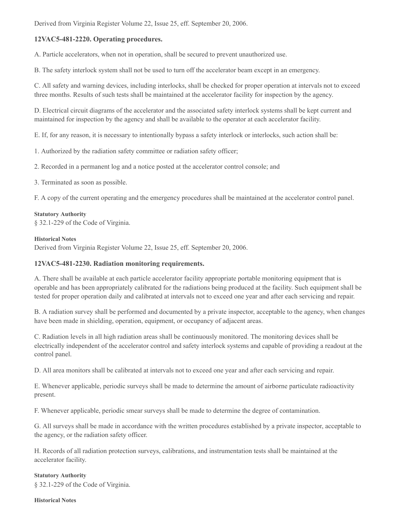Derived from Virginia Register Volume 22, Issue 25, eff. September 20, 2006.

## **12VAC5-481-2220. Operating procedures.**

A. Particle accelerators, when not in operation, shall be secured to prevent unauthorized use.

B. The safety interlock system shall not be used to turn off the accelerator beam except in an emergency.

C. All safety and warning devices, including interlocks, shall be checked for proper operation at intervals not to exceed three months. Results of such tests shall be maintained at the accelerator facility for inspection by the agency.

D. Electrical circuit diagrams of the accelerator and the associated safety interlock systems shall be kept current and maintained for inspection by the agency and shall be available to the operator at each accelerator facility.

E. If, for any reason, it is necessary to intentionally bypass a safety interlock or interlocks, such action shall be:

- 1. Authorized by the radiation safety committee or radiation safety officer;
- 2. Recorded in a permanent log and a notice posted at the accelerator control console; and
- 3. Terminated as soon as possible.

F. A copy of the current operating and the emergency procedures shall be maintained at the accelerator control panel.

#### **Statutory Authority**

§ 32.1-229 of the Code of Virginia.

#### **Historical Notes**

Derived from Virginia Register Volume 22, Issue 25, eff. September 20, 2006.

### **12VAC5-481-2230. Radiation monitoring requirements.**

A. There shall be available at each particle accelerator facility appropriate portable monitoring equipment that is operable and has been appropriately calibrated for the radiations being produced at the facility. Such equipment shall be tested for proper operation daily and calibrated at intervals not to exceed one year and after each servicing and repair.

B. A radiation survey shall be performed and documented by a private inspector, acceptable to the agency, when changes have been made in shielding, operation, equipment, or occupancy of adjacent areas.

C. Radiation levels in all high radiation areas shall be continuously monitored. The monitoring devices shall be electrically independent of the accelerator control and safety interlock systems and capable of providing a readout at the control panel.

D. All area monitors shall be calibrated at intervals not to exceed one year and after each servicing and repair.

E. Whenever applicable, periodic surveys shall be made to determine the amount of airborne particulate radioactivity present.

F. Whenever applicable, periodic smear surveys shall be made to determine the degree of contamination.

G. All surveys shall be made in accordance with the written procedures established by a private inspector, acceptable to the agency, or the radiation safety officer.

H. Records of all radiation protection surveys, calibrations, and instrumentation tests shall be maintained at the accelerator facility.

#### **Statutory Authority**

§ 32.1-229 of the Code of Virginia.

#### **Historical Notes**